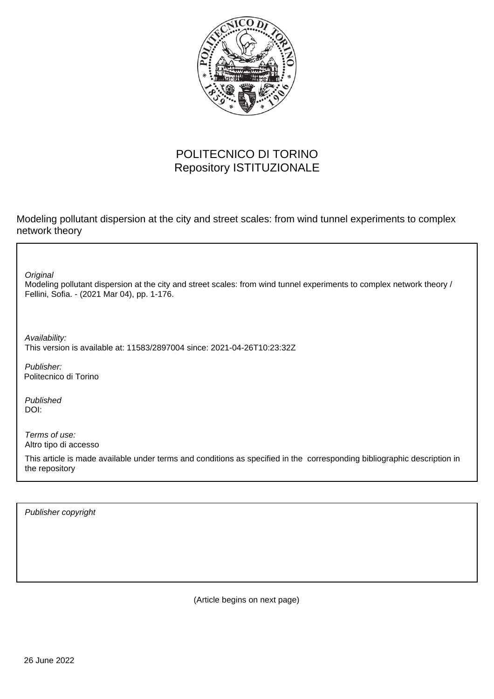

## POLITECNICO DI TORINO Repository ISTITUZIONALE

Modeling pollutant dispersion at the city and street scales: from wind tunnel experiments to complex network theory

**Original** 

Modeling pollutant dispersion at the city and street scales: from wind tunnel experiments to complex network theory / Fellini, Sofia. - (2021 Mar 04), pp. 1-176.

Availability: This version is available at: 11583/2897004 since: 2021-04-26T10:23:32Z

Publisher: Politecnico di Torino

Published DOI:

Terms of use: Altro tipo di accesso

This article is made available under terms and conditions as specified in the corresponding bibliographic description in the repository

Publisher copyright

(Article begins on next page)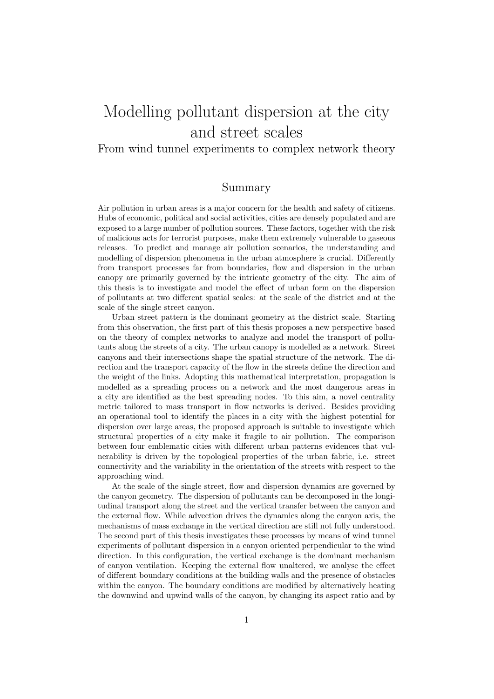## Modelling pollutant dispersion at the city and street scales

## From wind tunnel experiments to complex network theory

## Summary

Air pollution in urban areas is a major concern for the health and safety of citizens. Hubs of economic, political and social activities, cities are densely populated and are exposed to a large number of pollution sources. These factors, together with the risk of malicious acts for terrorist purposes, make them extremely vulnerable to gaseous releases. To predict and manage air pollution scenarios, the understanding and modelling of dispersion phenomena in the urban atmosphere is crucial. Differently from transport processes far from boundaries, flow and dispersion in the urban canopy are primarily governed by the intricate geometry of the city. The aim of this thesis is to investigate and model the effect of urban form on the dispersion of pollutants at two different spatial scales: at the scale of the district and at the scale of the single street canyon.

Urban street pattern is the dominant geometry at the district scale. Starting from this observation, the first part of this thesis proposes a new perspective based on the theory of complex networks to analyze and model the transport of pollutants along the streets of a city. The urban canopy is modelled as a network. Street canyons and their intersections shape the spatial structure of the network. The direction and the transport capacity of the flow in the streets define the direction and the weight of the links. Adopting this mathematical interpretation, propagation is modelled as a spreading process on a network and the most dangerous areas in a city are identified as the best spreading nodes. To this aim, a novel centrality metric tailored to mass transport in flow networks is derived. Besides providing an operational tool to identify the places in a city with the highest potential for dispersion over large areas, the proposed approach is suitable to investigate which structural properties of a city make it fragile to air pollution. The comparison between four emblematic cities with different urban patterns evidences that vulnerability is driven by the topological properties of the urban fabric, i.e. street connectivity and the variability in the orientation of the streets with respect to the approaching wind.

At the scale of the single street, flow and dispersion dynamics are governed by the canyon geometry. The dispersion of pollutants can be decomposed in the longitudinal transport along the street and the vertical transfer between the canyon and the external flow. While advection drives the dynamics along the canyon axis, the mechanisms of mass exchange in the vertical direction are still not fully understood. The second part of this thesis investigates these processes by means of wind tunnel experiments of pollutant dispersion in a canyon oriented perpendicular to the wind direction. In this configuration, the vertical exchange is the dominant mechanism of canyon ventilation. Keeping the external flow unaltered, we analyse the effect of different boundary conditions at the building walls and the presence of obstacles within the canyon. The boundary conditions are modified by alternatively heating the downwind and upwind walls of the canyon, by changing its aspect ratio and by